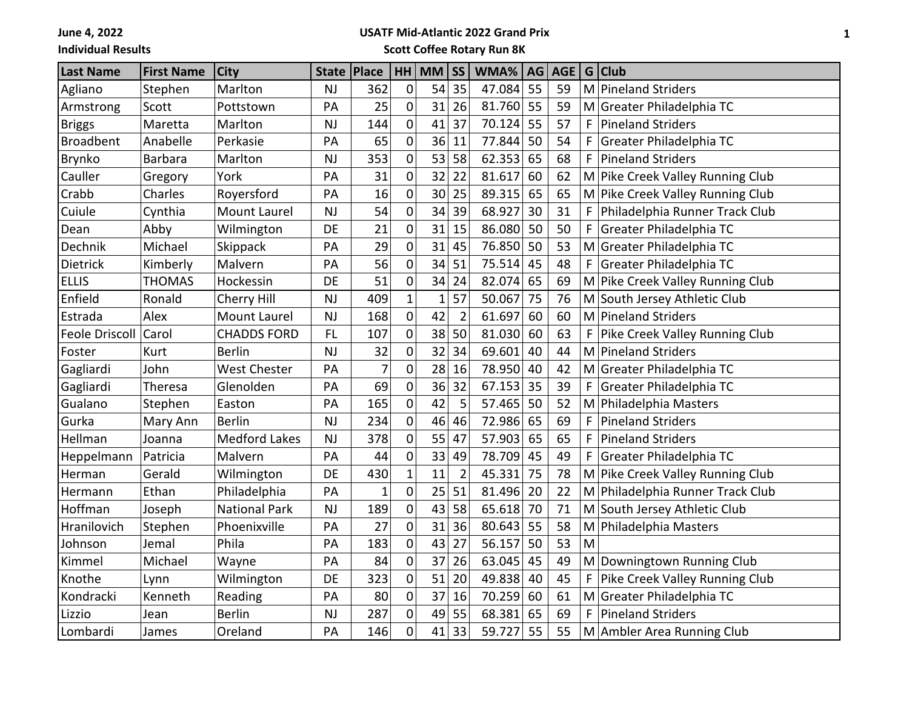**June 4, 2022**

## **Individual Results**

## **USATF Mid-Atlantic 2022 Grand Prix**

**Scott Coffee Rotary Run 8K**

| <b>Last Name</b> | <b>First Name</b> | <b>City</b>          | <b>State</b> | Place | HH             | <b>MM</b>    | $\mathsf{S}$   | WMA%   | AG |    |           | AGE G Club                       |
|------------------|-------------------|----------------------|--------------|-------|----------------|--------------|----------------|--------|----|----|-----------|----------------------------------|
| Agliano          | Stephen           | Marlton              | <b>NJ</b>    | 362   | $\mathbf 0$    | 54           | 35             | 47.084 | 55 | 59 |           | M Pineland Striders              |
| Armstrong        | Scott             | Pottstown            | PA           | 25    | $\mathbf 0$    | 31           | 26             | 81.760 | 55 | 59 |           | M Greater Philadelphia TC        |
| <b>Briggs</b>    | Maretta           | Marlton              | <b>NJ</b>    | 144   | $\overline{0}$ | 41           | 37             | 70.124 | 55 | 57 | F         | <b>Pineland Striders</b>         |
| <b>Broadbent</b> | Anabelle          | Perkasie             | PA           | 65    | $\mathbf 0$    | 36           | 11             | 77.844 | 50 | 54 | F         | Greater Philadelphia TC          |
| Brynko           | <b>Barbara</b>    | Marlton              | <b>NJ</b>    | 353   | $\mathbf 0$    | 53           | 58             | 62.353 | 65 | 68 | F         | <b>Pineland Striders</b>         |
| Cauller          | Gregory           | York                 | PA           | 31    | $\mathbf 0$    | 32           | 22             | 81.617 | 60 | 62 |           | M Pike Creek Valley Running Club |
| Crabb            | Charles           | Royersford           | PA           | 16    | $\mathbf 0$    | 30           | 25             | 89.315 | 65 | 65 |           | M Pike Creek Valley Running Club |
| Cuiule           | Cynthia           | <b>Mount Laurel</b>  | <b>NJ</b>    | 54    | $\mathbf 0$    | 34           | 39             | 68.927 | 30 | 31 | F         | Philadelphia Runner Track Club   |
| Dean             | Abby              | Wilmington           | DE           | 21    | $\mathbf 0$    | 31           | 15             | 86.080 | 50 | 50 | F         | Greater Philadelphia TC          |
| Dechnik          | Michael           | Skippack             | PA           | 29    | $\mathbf 0$    | 31           | 45             | 76.850 | 50 | 53 |           | M Greater Philadelphia TC        |
| Dietrick         | Kimberly          | Malvern              | PA           | 56    | $\overline{0}$ | 34           | 51             | 75.514 | 45 | 48 | F         | Greater Philadelphia TC          |
| <b>ELLIS</b>     | <b>THOMAS</b>     | Hockessin            | DE           | 51    | $\mathbf 0$    | 34           | 24             | 82.074 | 65 | 69 |           | M Pike Creek Valley Running Club |
| Enfield          | Ronald            | Cherry Hill          | <b>NJ</b>    | 409   | $\mathbf{1}$   | $\mathbf{1}$ | 57             | 50.067 | 75 | 76 |           | M South Jersey Athletic Club     |
| Estrada          | Alex              | <b>Mount Laurel</b>  | <b>NJ</b>    | 168   | $\mathbf 0$    | 42           | $\overline{2}$ | 61.697 | 60 | 60 |           | M Pineland Striders              |
| Feole Driscoll   | Carol             | <b>CHADDS FORD</b>   | <b>FL</b>    | 107   | $\overline{0}$ | 38           | 50             | 81.030 | 60 | 63 | F         | Pike Creek Valley Running Club   |
| Foster           | Kurt              | <b>Berlin</b>        | <b>NJ</b>    | 32    | $\mathbf 0$    | 32           | 34             | 69.601 | 40 | 44 |           | M Pineland Striders              |
| Gagliardi        | John              | West Chester         | PA           | 7     | $\mathbf 0$    | 28           | 16             | 78.950 | 40 | 42 |           | M Greater Philadelphia TC        |
| Gagliardi        | Theresa           | Glenolden            | PA           | 69    | $\mathbf 0$    | 36           | 32             | 67.153 | 35 | 39 | F         | Greater Philadelphia TC          |
| Gualano          | Stephen           | Easton               | PA           | 165   | $\overline{0}$ | 42           | 5              | 57.465 | 50 | 52 |           | M Philadelphia Masters           |
| Gurka            | Mary Ann          | <b>Berlin</b>        | <b>NJ</b>    | 234   | 0              | 46           | 46             | 72.986 | 65 | 69 | F         | <b>Pineland Striders</b>         |
| Hellman          | Joanna            | <b>Medford Lakes</b> | <b>NJ</b>    | 378   | $\mathbf 0$    | 55           | 47             | 57.903 | 65 | 65 | F         | Pineland Striders                |
| Heppelmann       | Patricia          | Malvern              | PA           | 44    | $\mathbf 0$    | 33           | 49             | 78.709 | 45 | 49 | F         | Greater Philadelphia TC          |
| Herman           | Gerald            | Wilmington           | DE           | 430   | $\mathbf{1}$   | 11           | $\overline{2}$ | 45.331 | 75 | 78 |           | M Pike Creek Valley Running Club |
| Hermann          | Ethan             | Philadelphia         | PA           | 1     | $\mathbf 0$    | 25           | 51             | 81.496 | 20 | 22 |           | M Philadelphia Runner Track Club |
| Hoffman          | Joseph            | <b>National Park</b> | <b>NJ</b>    | 189   | $\mathbf 0$    | 43           | 58             | 65.618 | 70 | 71 |           | M South Jersey Athletic Club     |
| Hranilovich      | Stephen           | Phoenixville         | PA           | 27    | $\mathbf 0$    | 31           | 36             | 80.643 | 55 | 58 | M         | Philadelphia Masters             |
| Johnson          | Jemal             | Phila                | PA           | 183   | $\mathbf 0$    | 43           | 27             | 56.157 | 50 | 53 | ${\sf M}$ |                                  |
| Kimmel           | Michael           | Wayne                | PA           | 84    | $\mathbf 0$    | 37           | 26             | 63.045 | 45 | 49 |           | M Downingtown Running Club       |
| Knothe           | Lynn              | Wilmington           | DE           | 323   | $\mathbf 0$    | 51           | 20             | 49.838 | 40 | 45 | F         | Pike Creek Valley Running Club   |
| Kondracki        | Kenneth           | Reading              | PA           | 80    | 0              | 37           | 16             | 70.259 | 60 | 61 |           | M Greater Philadelphia TC        |
| Lizzio           | Jean              | <b>Berlin</b>        | <b>NJ</b>    | 287   | $\mathbf 0$    | 49           | 55             | 68.381 | 65 | 69 | F         | <b>Pineland Striders</b>         |
| Lombardi         | James             | Oreland              | PA           | 146   | $\overline{0}$ | 41           | 33             | 59.727 | 55 | 55 |           | M Ambler Area Running Club       |